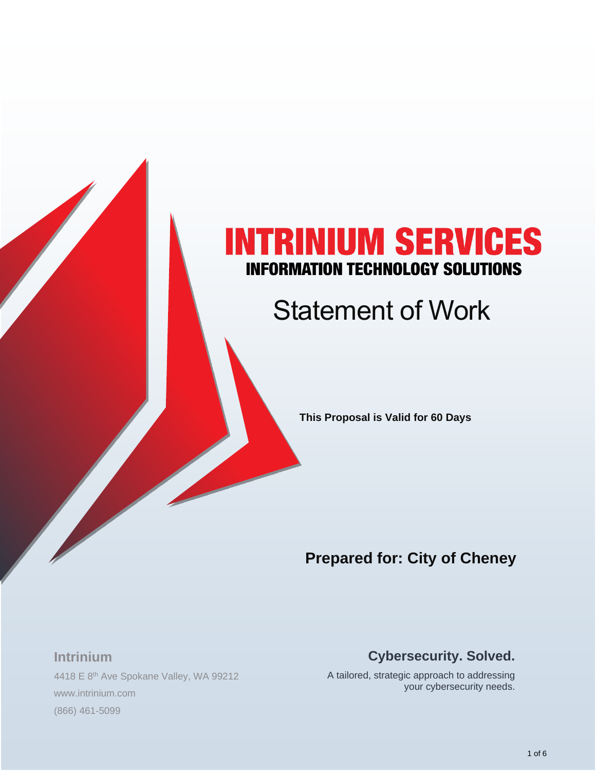# **NTRINIUM SERVICES INFORMATION TECHNOLOGY SOLUTIONS**

# Statement of Work

**This Proposal is Valid for 60 Days**

# **Prepared for: City of Cheney**

#### **Intrinium**

4418 E 8<sup>th</sup> Ave Spokane Valley, WA 99212 www.intrinium.com (866) 461-5099

#### **Cybersecurity. Solved.**

A tailored, strategic approach to addressing your cybersecurity needs.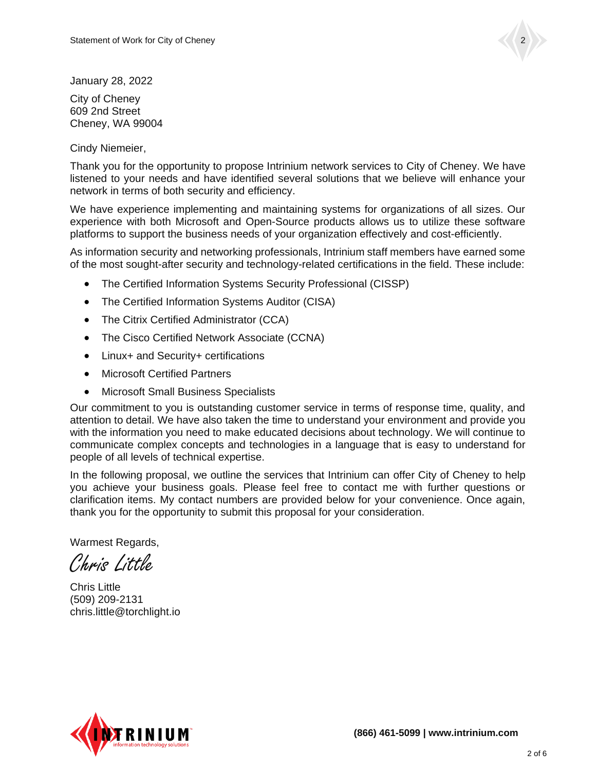

January 28, 2022

City of Cheney 609 2nd Street Cheney, WA 99004

Cindy Niemeier,

Thank you for the opportunity to propose Intrinium network services to City of Cheney. We have listened to your needs and have identified several solutions that we believe will enhance your network in terms of both security and efficiency.

We have experience implementing and maintaining systems for organizations of all sizes. Our experience with both Microsoft and Open-Source products allows us to utilize these software platforms to support the business needs of your organization effectively and cost-efficiently.

As information security and networking professionals, Intrinium staff members have earned some of the most sought-after security and technology-related certifications in the field. These include:

- The Certified Information Systems Security Professional (CISSP)
- The Certified Information Systems Auditor (CISA)
- The Citrix Certified Administrator (CCA)
- The Cisco Certified Network Associate (CCNA)
- Linux+ and Security+ certifications
- Microsoft Certified Partners
- Microsoft Small Business Specialists

Our commitment to you is outstanding customer service in terms of response time, quality, and attention to detail. We have also taken the time to understand your environment and provide you with the information you need to make educated decisions about technology. We will continue to communicate complex concepts and technologies in a language that is easy to understand for people of all levels of technical expertise.

In the following proposal, we outline the services that Intrinium can offer City of Cheney to help you achieve your business goals. Please feel free to contact me with further questions or clarification items. My contact numbers are provided below for your convenience. Once again, thank you for the opportunity to submit this proposal for your consideration.

Warmest Regards.

Chris Little

Chris Little (509) 209-2131 chris.little@torchlight.io

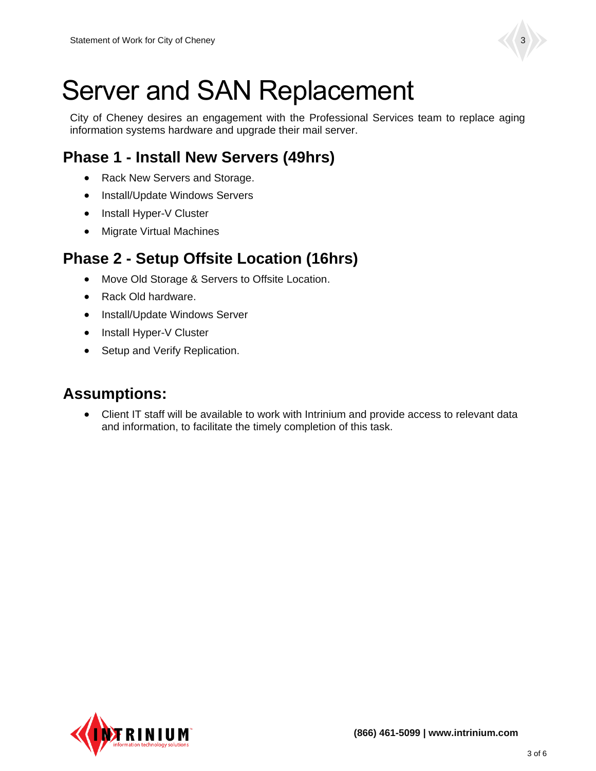

# Server and SAN Replacement

City of Cheney desires an engagement with the Professional Services team to replace aging information systems hardware and upgrade their mail server.

## **Phase 1 - Install New Servers (49hrs)**

- Rack New Servers and Storage.
- Install/Update Windows Servers
- Install Hyper-V Cluster
- Migrate Virtual Machines

## **Phase 2 - Setup Offsite Location (16hrs)**

- Move Old Storage & Servers to Offsite Location.
- Rack Old hardware.
- Install/Update Windows Server
- Install Hyper-V Cluster
- Setup and Verify Replication.

### **Assumptions:**

• Client IT staff will be available to work with Intrinium and provide access to relevant data and information, to facilitate the timely completion of this task.

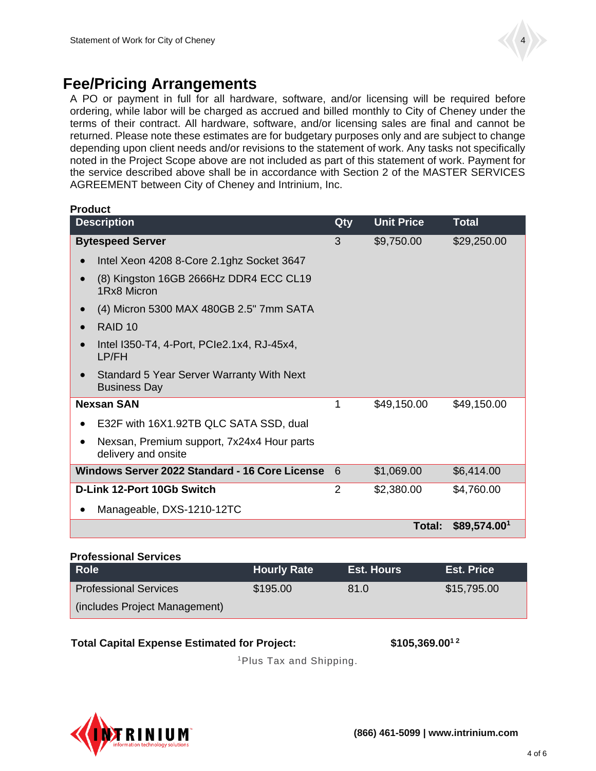

### **Fee/Pricing Arrangements**

A PO or payment in full for all hardware, software, and/or licensing will be required before ordering, while labor will be charged as accrued and billed monthly to City of Cheney under the terms of their contract. All hardware, software, and/or licensing sales are final and cannot be returned. Please note these estimates are for budgetary purposes only and are subject to change depending upon client needs and/or revisions to the statement of work. Any tasks not specifically noted in the Project Scope above are not included as part of this statement of work. Payment for the service described above shall be in accordance with Section 2 of the MASTER SERVICES AGREEMENT between City of Cheney and Intrinium, Inc.

| <b>Product</b>                                                          |                |                   |                          |  |
|-------------------------------------------------------------------------|----------------|-------------------|--------------------------|--|
| <b>Description</b>                                                      | Qty            | <b>Unit Price</b> | <b>Total</b>             |  |
| <b>Bytespeed Server</b>                                                 | 3              | \$9,750.00        | \$29,250.00              |  |
| Intel Xeon 4208 8-Core 2.1ghz Socket 3647                               |                |                   |                          |  |
| (8) Kingston 16GB 2666Hz DDR4 ECC CL19<br>1Rx8 Micron                   |                |                   |                          |  |
| (4) Micron 5300 MAX 480GB 2.5" 7mm SATA                                 |                |                   |                          |  |
| RAID <sub>10</sub>                                                      |                |                   |                          |  |
| Intel I350-T4, 4-Port, PCIe2.1x4, RJ-45x4,<br>LP/FH                     |                |                   |                          |  |
| <b>Standard 5 Year Server Warranty With Next</b><br><b>Business Day</b> |                |                   |                          |  |
| <b>Nexsan SAN</b>                                                       | 1              | \$49,150.00       | \$49,150.00              |  |
| E32F with 16X1.92TB QLC SATA SSD, dual                                  |                |                   |                          |  |
| Nexsan, Premium support, 7x24x4 Hour parts<br>delivery and onsite       |                |                   |                          |  |
| Windows Server 2022 Standard - 16 Core License                          | 6              | \$1,069.00        | \$6,414.00               |  |
| D-Link 12-Port 10Gb Switch                                              | $\overline{2}$ | \$2,380.00        | \$4,760.00               |  |
| Manageable, DXS-1210-12TC                                               |                |                   |                          |  |
|                                                                         |                | <b>Total:</b>     | \$89,574.00 <sup>1</sup> |  |

#### **Professional Services**

| <b>Role</b>                   | <b>Hourly Rate</b> | <b>Est. Hours</b> | <b>Est. Price</b> |
|-------------------------------|--------------------|-------------------|-------------------|
| <b>Professional Services</b>  | \$195.00           | 81.0              | \$15,795.00       |
| (includes Project Management) |                    |                   |                   |

#### **Total Capital Expense Estimated for Project: \$105,369.001 2**

<sup>1</sup>Plus Tax and Shipping.

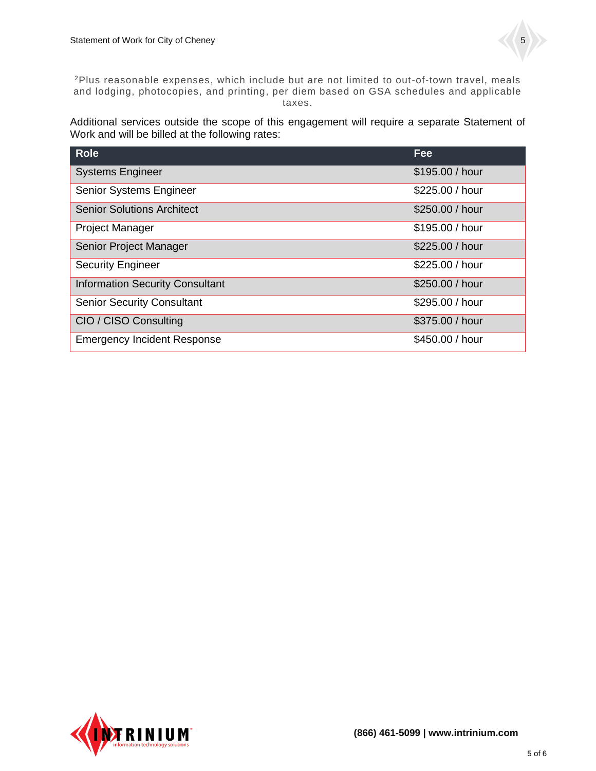<sup>2</sup>Plus reasonable expenses, which include but are not limited to out-of-town travel, meals and lodging, photocopies, and printing, per diem based on GSA schedules and applicable taxes.

Additional services outside the scope of this engagement will require a separate Statement of Work and will be billed at the following rates:

| <b>Role</b>                            | Fee             |
|----------------------------------------|-----------------|
| <b>Systems Engineer</b>                | \$195.00 / hour |
| Senior Systems Engineer                | \$225.00 / hour |
| <b>Senior Solutions Architect</b>      | \$250.00 / hour |
| <b>Project Manager</b>                 | \$195.00 / hour |
| Senior Project Manager                 | \$225.00 / hour |
| <b>Security Engineer</b>               | \$225.00 / hour |
| <b>Information Security Consultant</b> | \$250.00 / hour |
| <b>Senior Security Consultant</b>      | \$295.00 / hour |
| CIO / CISO Consulting                  | \$375.00 / hour |
| <b>Emergency Incident Response</b>     | \$450.00 / hour |